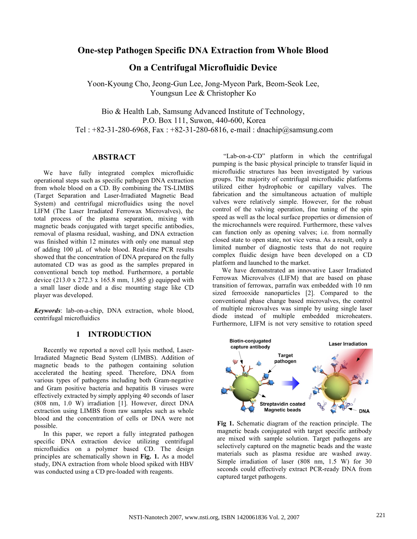## One-step Pathogen Specific DNA Extraction from Whole Blood

## On a Centrifugal Microfluidic Device

Yoon-Kyoung Cho, Jeong-Gun Lee, Jong-Myeon Park, Beom-Seok Lee, Youngsun Lee & Christopher Ko

Bio & Health Lab, Samsung Advanced Institute of Technology, P.O. Box 111, Suwon, 440-600, Korea Tel :  $+82-31-280-6968$ , Fax :  $+82-31-280-6816$ , e-mail : dnachip@samsung.com

## ABSTRACT

We have fully integrated complex microfluidic operational steps such as specific pathogen DNA extraction from whole blood on a CD. By combining the TS-LIMBS (Target Separation and Laser-Irradiated Magnetic Bead System) and centrifugal microfluidics using the novel LIFM (The Laser Irradiated Ferrowax Microvalves), the total process of the plasma separation, mixing with magnetic beads conjugated with target specific antibodies, removal of plasma residual, washing, and DNA extraction was finished within 12 minutes with only one manual step of adding 100 µL of whole blood. Real-time PCR results showed that the concentration of DNA prepared on the fully automated CD was as good as the samples prepared in conventional bench top method. Furthermore, a portable device (213.0 x 272.3 x 165.8 mm, 1,865 g) equipped with a small laser diode and a disc mounting stage like CD player was developed.

Keywords: lab-on-a-chip, DNA extraction, whole blood, centrifugal microfluidics

## 1 INTRODUCTION

Recently we reported a novel cell lysis method, Laser-Irradiated Magnetic Bead System (LIMBS). Addition of magnetic beads to the pathogen containing solution accelerated the heating speed. Therefore, DNA from various types of pathogens including both Gram-negative and Gram positive bacteria and hepatitis B viruses were effectively extracted by simply applying 40 seconds of laser (808 nm, 1.0 W) irradiation [1]. However, direct DNA extraction using LIMBS from raw samples such as whole blood and the concentration of cells or DNA were not possible.

In this paper, we report a fully integrated pathogen specific DNA extraction device utilizing centrifugal microfluidics on a polymer based CD. The design principles are schematically shown in Fig. 1. As a model study, DNA extraction from whole blood spiked with HBV was conducted using a CD pre-loaded with reagents.

 "Lab-on-a-CD" platform in which the centrifugal pumping is the basic physical principle to transfer liquid in microfluidic structures has been investigated by various groups. The majority of centrifugal microfluidic platforms utilized either hydrophobic or capillary valves. The fabrication and the simultaneous actuation of multiple valves were relatively simple. However, for the robust control of the valving operation, fine tuning of the spin speed as well as the local surface properties or dimension of the microchannels were required. Furthermore, these valves can function only as opening valves; i.e. from normally closed state to open state, not vice versa. As a result, only a limited number of diagnostic tests that do not require complex fluidic design have been developed on a CD platform and launched to the market.

We have demonstrated an innovative Laser Irradiated Ferrowax Microvalves (LIFM) that are based on phase transition of ferrowax, parrafin wax embedded with 10 nm sized ferrooxide nanoparticles [2]. Compared to the conventional phase change based microvalves, the control of multiple microvalves was simple by using single laser diode instead of multiple embedded microheaters. Furthermore, LIFM is not very sensitive to rotation speed



Fig 1. Schematic diagram of the reaction principle. The magnetic beads conjugated with target specific antibody are mixed with sample solution. Target pathogens are selectively captured on the magnetic beads and the waste materials such as plasma residue are washed away. Simple irradiation of laser (808 nm, 1.5 W) for 30 seconds could effectively extract PCR-ready DNA from captured target pathogens.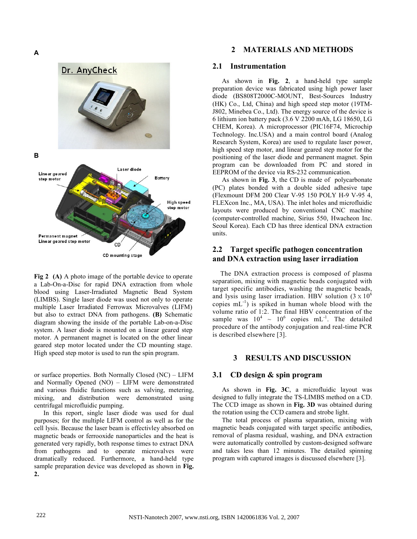

Fig 2 (A) A photo image of the portable device to operate a Lab-On-a-Disc for rapid DNA extraction from whole blood using Laser-Irradiated Magnetic Bead System (LIMBS). Single laser diode was used not only to operate multiple Laser Irradiated Ferrowax Microvalves (LIFM) but also to extract DNA from pathogens. (B) Schematic diagram showing the inside of the portable Lab-on-a-Disc system. A laser diode is mounted on a linear geared step motor. A permanent magnet is located on the other linear geared step motor located under the CD mounting stage. High speed step motor is used to run the spin program.

or surface properties. Both Normally Closed (NC) – LIFM and Normally Opened (NO) – LIFM were demonstrated and various fluidic functions such as valving, metering, mixing, and distribution were demonstrated using centrifugal microfluidic pumping.

In this report, single laser diode was used for dual purposes; for the multiple LIFM control as well as for the cell lysis. Because the laser beam is effectivley absorbed on magnetic beads or ferrooxide nanoparticles and the heat is generated very rapidly, both response times to extract DNA from pathogens and to operate microvalves were dramatically reduced. Furthermore, a hand-held type sample preparation device was developed as shown in Fig. 2.

### 2 MATERIALS AND METHODS

### 2.1 Instrumentation

As shown in Fig. 2, a hand-held type sample preparation device was fabricated using high power laser diode (BS808T2000C-MOUNT, Best-Sources Industry (HK) Co., Ltd, China) and high speed step motor (19TM-J802, Minebea Co., Ltd). The energy source of the device is 6 lithium ion battery pack (3.6 V 2200 mAh, LG 18650, LG CHEM, Korea). A microprocessor (PIC16F74, Microchip Technology. Inc.USA) and a main control board (Analog Research System, Korea) are used to regulate laser power, high speed step motor, and linear geared step motor for the positioning of the laser diode and permanent magnet. Spin program can be downloaded from PC and stored in EEPROM of the device via RS-232 communication.

As shown in Fig. 3, the CD is made of polycarbonate (PC) plates bonded with a double sided adhesive tape (Flexmount DFM 200 Clear V-95 150 POLY H-9 V-95 4, FLEXcon Inc., MA, USA). The inlet holes and microfluidic layouts were produced by conventional CNC machine (computer-controlled machine, Sirius 550, Hwacheon Inc. Seoul Korea). Each CD has three identical DNA extraction units.

## 2.2 Target specific pathogen concentration and DNA extraction using laser irradiation

The DNA extraction process is composed of plasma separation, mixing with magnetic beads conjugated with target specific antibodies, washing the magnetic beads, and lysis using laser irradiation. HBV solution  $(3 \times 10^6$ copies  $mL^{-1}$ ) is spiked in human whole blood with the volume ratio of 1:2. The final HBV concentration of the sample was  $10^4 \sim 10^6$  copies mL<sup>-1</sup>. The detailed procedure of the antibody conjugation and real-time PCR is described elsewhere [3].

## 3 RESULTS AND DISCUSSION

### 3.1 CD design & spin program

As shown in Fig. 3C, a microfluidic layout was designed to fully integrate the TS-LIMBS method on a CD. The CCD image as shown in Fig. 3D was obtained during the rotation using the CCD camera and strobe light.

The total process of plasma separation, mixing with magnetic beads conjugated with target specific antibodies, removal of plasma residual, washing, and DNA extraction were automatically controlled by custom-designed software and takes less than 12 minutes. The detailed spinning program with captured images is discussed elsewhere [3].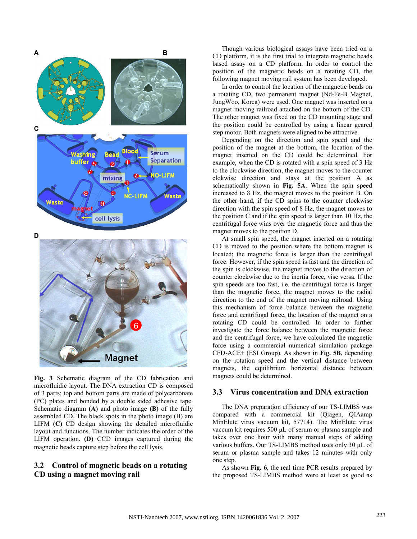

Fig. 3 Schematic diagram of the CD fabrication and microfluidic layout. The DNA extraction CD is composed of 3 parts; top and bottom parts are made of polycarbonate (PC) plates and bonded by a double sided adhesive tape. Schematic diagram  $(A)$  and photo image  $(B)$  of the fully assembled CD. The black spots in the photo image (B) are LIFM (C) CD design showing the detailed microfluidic layout and functions. The number indicates the order of the LIFM operation. (D) CCD images captured during the magnetic beads capture step before the cell lysis.

## 3.2 Control of magnetic beads on a rotating CD using a magnet moving rail

Though various biological assays have been tried on a CD platform, it is the first trial to integrate magnetic beads based assay on a CD platform. In order to control the position of the magnetic beads on a rotating CD, the following magnet moving rail system has been developed.

In order to control the location of the magnetic beads on a rotating CD, two permanent magnet (Nd-Fe-B Magnet, JungWoo, Korea) were used. One magnet was inserted on a magnet moving railroad attached on the bottom of the CD. The other magnet was fixed on the CD mounting stage and the position could be controlled by using a linear geared step motor. Both magnets were aligned to be attractive.

Depending on the direction and spin speed and the position of the magnet at the bottom, the location of the magnet inserted on the CD could be determined. For example, when the CD is rotated with a spin speed of 3 Hz to the clockwise direction, the magnet moves to the counter clokwise direction and stays at the position A as schematically shown in Fig. 5A. When the spin speed increased to 8 Hz, the magnet moves to the position B. On the other hand, if the CD spins to the counter clockwise direction with the spin speed of 8 Hz, the magnet moves to the position C and if the spin speed is larger than 10 Hz, the centrifugal force wins over the magnetic force and thus the magnet moves to the position D.

At small spin speed, the magnet inserted on a rotating CD is moved to the position where the bottom magnet is located; the magnetic force is larger than the centrifugal force. However, if the spin speed is fast and the direction of the spin is clockwise, the magnet moves to the direction of counter clockwise due to the inertia force, vise versa. If the spin speeds are too fast, i.e. the centrifugal force is larger than the magnetic force, the magnet moves to the radial direction to the end of the magnet moving railroad. Using this mechanism of force balance between the magnetic force and centrifugal force, the location of the magnet on a rotating CD could be controlled. In order to further investigate the force balance between the magnetic force and the centrifugal force, we have calculated the magnetic force using a commercial numerical simulation package CFD-ACE+ (ESI Group). As shown in Fig. 5B, depending on the rotation speed and the vertical distance between magnets, the equilibrium horizontal distance between magnets could be determined.

### 3.3 Virus concentration and DNA extraction

The DNA preparation efficiency of our TS-LIMBS was compared with a commercial kit (Qiagen, QIAamp MinElute virus vacuum kit, 57714). The MinElute virus vaccum kit requires 500 µL of serum or plasma sample and takes over one hour with many manual steps of adding various buffers. Our TS-LIMBS method uses only 30 µL of serum or plasma sample and takes 12 minutes with only one step.

As shown Fig. 6, the real time PCR results prepared by the proposed TS-LIMBS method were at least as good as